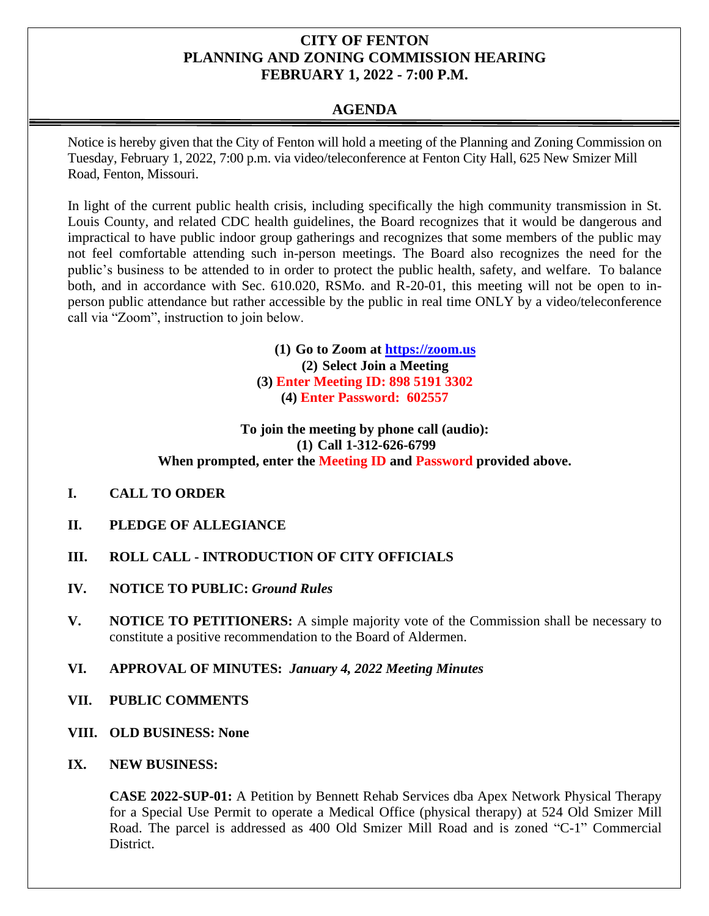# **CITY OF FENTON PLANNING AND ZONING COMMISSION HEARING FEBRUARY 1, 2022 - 7:00 P.M.**

# **AGENDA**

Notice is hereby given that the City of Fenton will hold a meeting of the Planning and Zoning Commission on Tuesday, February 1, 2022, 7:00 p.m. via video/teleconference at Fenton City Hall, 625 New Smizer Mill Road, Fenton, Missouri.

In light of the current public health crisis, including specifically the high community transmission in St. Louis County, and related CDC health guidelines, the Board recognizes that it would be dangerous and impractical to have public indoor group gatherings and recognizes that some members of the public may not feel comfortable attending such in-person meetings. The Board also recognizes the need for the public's business to be attended to in order to protect the public health, safety, and welfare. To balance both, and in accordance with Sec. 610.020, RSMo. and R-20-01, this meeting will not be open to inperson public attendance but rather accessible by the public in real time ONLY by a video/teleconference call via "Zoom", instruction to join below.

> **(1) Go to Zoom at [https://zoom.us](https://zoom.us/) (2) Select Join a Meeting (3) Enter Meeting ID: 898 5191 3302 (4) Enter Password: 602557**

### **To join the meeting by phone call (audio): (1) Call 1-312-626-6799 When prompted, enter the Meeting ID and Password provided above.**

- **I. CALL TO ORDER**
- **II. PLEDGE OF ALLEGIANCE**
- **III. ROLL CALL - INTRODUCTION OF CITY OFFICIALS**
- **IV. NOTICE TO PUBLIC:** *Ground Rules*
- **V. NOTICE TO PETITIONERS:** A simple majority vote of the Commission shall be necessary to constitute a positive recommendation to the Board of Aldermen.
- **VI. APPROVAL OF MINUTES:** *January 4, 2022 Meeting Minutes*
- **VII. PUBLIC COMMENTS**
- **VIII. OLD BUSINESS: None**
- **IX. NEW BUSINESS:**

**CASE 2022-SUP-01:** A Petition by Bennett Rehab Services dba Apex Network Physical Therapy for a Special Use Permit to operate a Medical Office (physical therapy) at 524 Old Smizer Mill Road. The parcel is addressed as 400 Old Smizer Mill Road and is zoned "C-1" Commercial District.